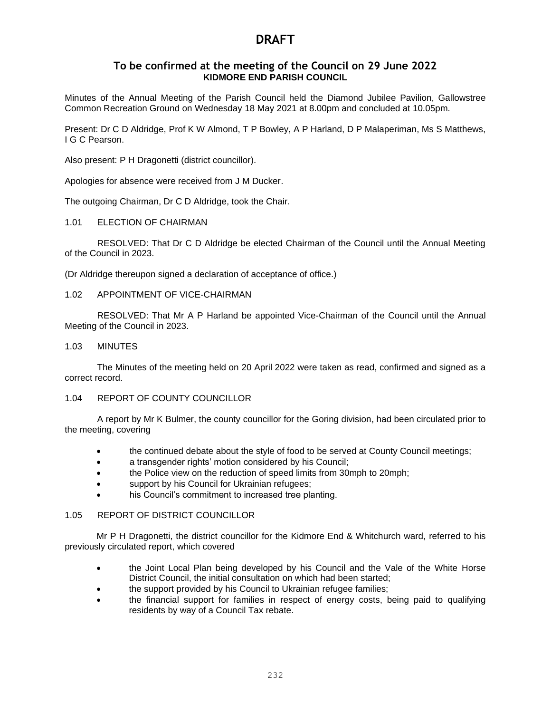# **To be confirmed at the meeting of the Council on 29 June 2022 KIDMORE END PARISH COUNCIL**

Minutes of the Annual Meeting of the Parish Council held the Diamond Jubilee Pavilion, Gallowstree Common Recreation Ground on Wednesday 18 May 2021 at 8.00pm and concluded at 10.05pm.

Present: Dr C D Aldridge, Prof K W Almond, T P Bowley, A P Harland, D P Malaperiman, Ms S Matthews, I G C Pearson.

Also present: P H Dragonetti (district councillor).

Apologies for absence were received from J M Ducker.

The outgoing Chairman, Dr C D Aldridge, took the Chair.

#### 1.01 ELECTION OF CHAIRMAN

RESOLVED: That Dr C D Aldridge be elected Chairman of the Council until the Annual Meeting of the Council in 2023.

(Dr Aldridge thereupon signed a declaration of acceptance of office.)

#### 1.02 APPOINTMENT OF VICE-CHAIRMAN

RESOLVED: That Mr A P Harland be appointed Vice-Chairman of the Council until the Annual Meeting of the Council in 2023.

#### 1.03 MINUTES

The Minutes of the meeting held on 20 April 2022 were taken as read, confirmed and signed as a correct record.

#### 1.04 REPORT OF COUNTY COUNCILLOR

A report by Mr K Bulmer, the county councillor for the Goring division, had been circulated prior to the meeting, covering

- the continued debate about the style of food to be served at County Council meetings;
- a transgender rights' motion considered by his Council;
- the Police view on the reduction of speed limits from 30mph to 20mph;
- support by his Council for Ukrainian refugees;
- his Council's commitment to increased tree planting.

#### 1.05 REPORT OF DISTRICT COUNCILLOR

Mr P H Dragonetti, the district councillor for the Kidmore End & Whitchurch ward, referred to his previously circulated report, which covered

- the Joint Local Plan being developed by his Council and the Vale of the White Horse District Council, the initial consultation on which had been started;
- the support provided by his Council to Ukrainian refugee families;
- the financial support for families in respect of energy costs, being paid to qualifying residents by way of a Council Tax rebate.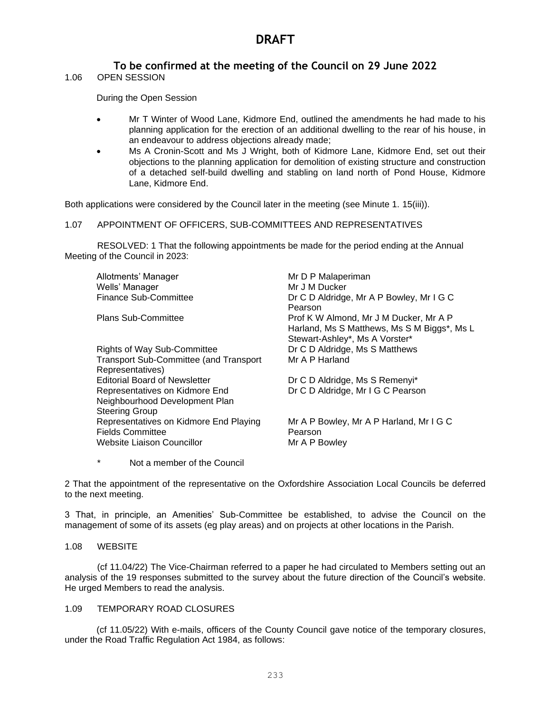# **To be confirmed at the meeting of the Council on 29 June 2022**

1.06 OPEN SESSION

During the Open Session

- Mr T Winter of Wood Lane, Kidmore End, outlined the amendments he had made to his planning application for the erection of an additional dwelling to the rear of his house, in an endeavour to address objections already made;
- Ms A Cronin-Scott and Ms J Wright, both of Kidmore Lane, Kidmore End, set out their objections to the planning application for demolition of existing structure and construction of a detached self-build dwelling and stabling on land north of Pond House, Kidmore Lane, Kidmore End.

Both applications were considered by the Council later in the meeting (see Minute 1. 15(iii)).

#### 1.07 APPOINTMENT OF OFFICERS, SUB-COMMITTEES AND REPRESENTATIVES

RESOLVED: 1 That the following appointments be made for the period ending at the Annual Meeting of the Council in 2023:

| Allotments' Manager                           | Mr D P Malaperiman                          |
|-----------------------------------------------|---------------------------------------------|
| Wells' Manager                                | Mr J M Ducker                               |
| <b>Finance Sub-Committee</b>                  | Dr C D Aldridge, Mr A P Bowley, Mr I G C    |
|                                               | Pearson                                     |
| <b>Plans Sub-Committee</b>                    | Prof K W Almond, Mr J M Ducker, Mr A P      |
|                                               | Harland, Ms S Matthews, Ms S M Biggs*, Ms L |
|                                               | Stewart-Ashley*, Ms A Vorster*              |
| <b>Rights of Way Sub-Committee</b>            | Dr C D Aldridge, Ms S Matthews              |
| <b>Transport Sub-Committee (and Transport</b> | Mr A P Harland                              |
| Representatives)                              |                                             |
| <b>Editorial Board of Newsletter</b>          | Dr C D Aldridge, Ms S Remenyi*              |
| Representatives on Kidmore End                | Dr C D Aldridge, Mr I G C Pearson           |
| Neighbourhood Development Plan                |                                             |
| <b>Steering Group</b>                         |                                             |
| Representatives on Kidmore End Playing        | Mr A P Bowley, Mr A P Harland, Mr I G C     |
| <b>Fields Committee</b>                       | Pearson                                     |
| Website Liaison Councillor                    | Mr A P Bowley                               |
|                                               |                                             |

\* Not a member of the Council

2 That the appointment of the representative on the Oxfordshire Association Local Councils be deferred to the next meeting.

3 That, in principle, an Amenities' Sub-Committee be established, to advise the Council on the management of some of its assets (eg play areas) and on projects at other locations in the Parish.

#### 1.08 WEBSITE

(cf 11.04/22) The Vice-Chairman referred to a paper he had circulated to Members setting out an analysis of the 19 responses submitted to the survey about the future direction of the Council's website. He urged Members to read the analysis.

## 1.09 TEMPORARY ROAD CLOSURES

(cf 11.05/22) With e-mails, officers of the County Council gave notice of the temporary closures, under the Road Traffic Regulation Act 1984, as follows: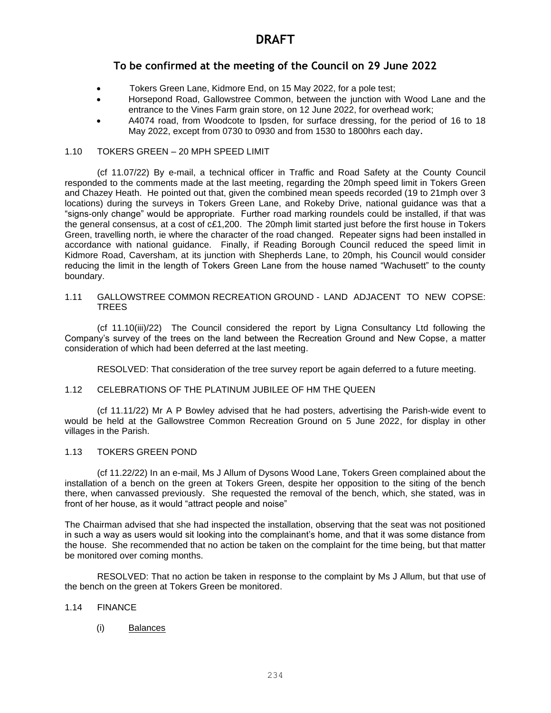# **To be confirmed at the meeting of the Council on 29 June 2022**

- Tokers Green Lane, Kidmore End, on 15 May 2022, for a pole test;
- Horsepond Road, Gallowstree Common, between the junction with Wood Lane and the entrance to the Vines Farm grain store, on 12 June 2022, for overhead work;
- A4074 road, from Woodcote to Ipsden, for surface dressing, for the period of 16 to 18 May 2022, except from 0730 to 0930 and from 1530 to 1800hrs each day.

#### 1.10 TOKERS GREEN – 20 MPH SPEED LIMIT

(cf 11.07/22) By e-mail, a technical officer in Traffic and Road Safety at the County Council responded to the comments made at the last meeting, regarding the 20mph speed limit in Tokers Green and Chazey Heath. He pointed out that, given the combined mean speeds recorded (19 to 21mph over 3 locations) during the surveys in Tokers Green Lane, and Rokeby Drive, national guidance was that a "signs-only change" would be appropriate. Further road marking roundels could be installed, if that was the general consensus, at a cost of c£1,200. The 20mph limit started just before the first house in Tokers Green, travelling north, ie where the character of the road changed. Repeater signs had been installed in accordance with national guidance. Finally, if Reading Borough Council reduced the speed limit in Kidmore Road, Caversham, at its junction with Shepherds Lane, to 20mph, his Council would consider reducing the limit in the length of Tokers Green Lane from the house named "Wachusett" to the county boundary.

#### 1.11 GALLOWSTREE COMMON RECREATION GROUND - LAND ADJACENT TO NEW COPSE: **TREES**

(cf 11.10(iii)/22) The Council considered the report by Ligna Consultancy Ltd following the Company's survey of the trees on the land between the Recreation Ground and New Copse, a matter consideration of which had been deferred at the last meeting.

RESOLVED: That consideration of the tree survey report be again deferred to a future meeting.

#### 1.12 CELEBRATIONS OF THE PLATINUM JUBILEE OF HM THE QUEEN

(cf 11.11/22) Mr A P Bowley advised that he had posters, advertising the Parish-wide event to would be held at the Gallowstree Common Recreation Ground on 5 June 2022, for display in other villages in the Parish.

#### 1.13 TOKERS GREEN POND

(cf 11.22/22) In an e-mail, Ms J Allum of Dysons Wood Lane, Tokers Green complained about the installation of a bench on the green at Tokers Green, despite her opposition to the siting of the bench there, when canvassed previously. She requested the removal of the bench, which, she stated, was in front of her house, as it would "attract people and noise"

The Chairman advised that she had inspected the installation, observing that the seat was not positioned in such a way as users would sit looking into the complainant's home, and that it was some distance from the house. She recommended that no action be taken on the complaint for the time being, but that matter be monitored over coming months.

RESOLVED: That no action be taken in response to the complaint by Ms J Allum, but that use of the bench on the green at Tokers Green be monitored.

#### 1.14 FINANCE

## (i) Balances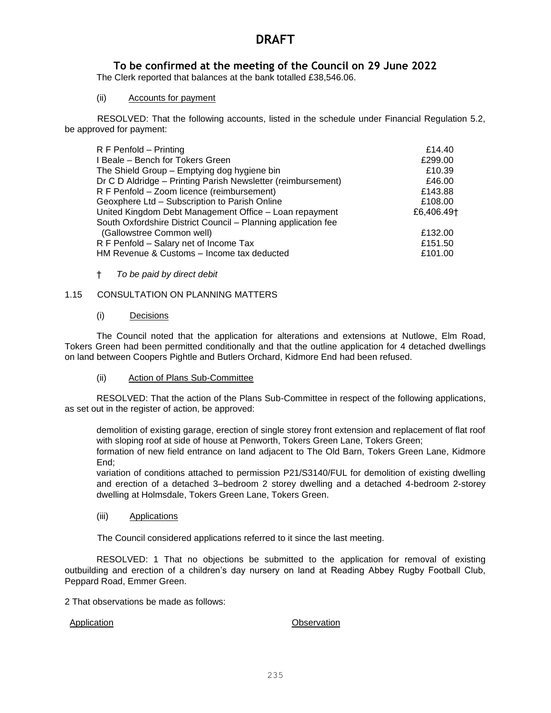# **To be confirmed at the meeting of the Council on 29 June 2022**

The Clerk reported that balances at the bank totalled £38,546.06.

## (ii) Accounts for payment

RESOLVED: That the following accounts, listed in the schedule under Financial Regulation 5.2, be approved for payment:

| R F Penfold - Printing                                        | £14.40                 |
|---------------------------------------------------------------|------------------------|
| I Beale - Bench for Tokers Green                              | £299.00                |
| The Shield Group - Emptying dog hygiene bin                   | £10.39                 |
| Dr C D Aldridge - Printing Parish Newsletter (reimbursement)  | £46.00                 |
| R F Penfold - Zoom licence (reimbursement)                    | £143.88                |
| Geoxphere Ltd - Subscription to Parish Online                 | £108.00                |
| United Kingdom Debt Management Office - Loan repayment        | £6,406.49 <sup>+</sup> |
| South Oxfordshire District Council - Planning application fee |                        |
| (Gallowstree Common well)                                     | £132.00                |
| R F Penfold - Salary net of Income Tax                        | £151.50                |
| HM Revenue & Customs - Income tax deducted                    | £101.00                |
|                                                               |                        |

## † *To be paid by direct debit*

## 1.15 CONSULTATION ON PLANNING MATTERS

## (i) Decisions

The Council noted that the application for alterations and extensions at Nutlowe, Elm Road, Tokers Green had been permitted conditionally and that the outline application for 4 detached dwellings on land between Coopers Pightle and Butlers Orchard, Kidmore End had been refused.

#### (ii) Action of Plans Sub-Committee

RESOLVED: That the action of the Plans Sub-Committee in respect of the following applications, as set out in the register of action, be approved:

demolition of existing garage, erection of single storey front extension and replacement of flat roof with sloping roof at side of house at Penworth, Tokers Green Lane, Tokers Green;

formation of new field entrance on land adjacent to The Old Barn, Tokers Green Lane, Kidmore End;

variation of conditions attached to permission P21/S3140/FUL for demolition of existing dwelling and erection of a detached 3–bedroom 2 storey dwelling and a detached 4-bedroom 2-storey dwelling at Holmsdale, Tokers Green Lane, Tokers Green.

## (iii) Applications

The Council considered applications referred to it since the last meeting.

RESOLVED: 1 That no objections be submitted to the application for removal of existing outbuilding and erection of a children's day nursery on land at Reading Abbey Rugby Football Club, Peppard Road, Emmer Green.

2 That observations be made as follows:

#### Application **Application Application**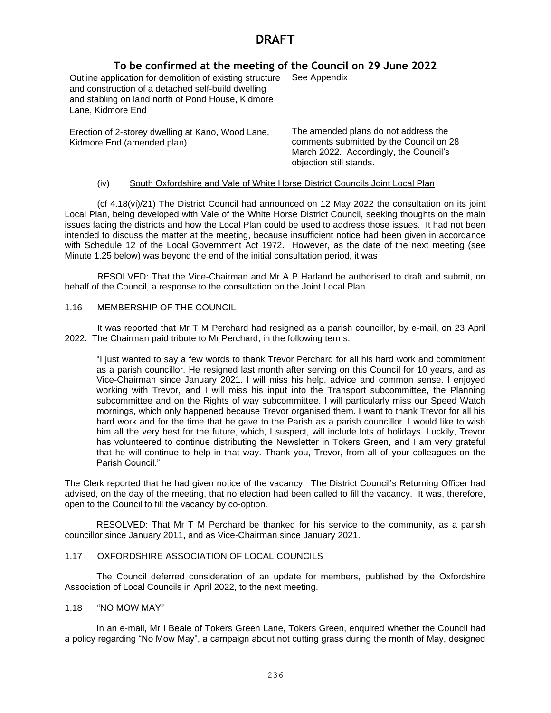# **To be confirmed at the meeting of the Council on 29 June 2022**

Outline application for demolition of existing structure See Appendix and construction of a detached self-build dwelling and stabling on land north of Pond House, Kidmore Lane, Kidmore End

Erection of 2-storey dwelling at Kano, Wood Lane, Kidmore End (amended plan)

The amended plans do not address the comments submitted by the Council on 28 March 2022. Accordingly, the Council's objection still stands.

## (iv) South Oxfordshire and Vale of White Horse District Councils Joint Local Plan

(cf 4.18(vi)/21) The District Council had announced on 12 May 2022 the consultation on its joint Local Plan, being developed with Vale of the White Horse District Council, seeking thoughts on the main issues facing the districts and how the Local Plan could be used to address those issues. It had not been intended to discuss the matter at the meeting, because insufficient notice had been given in accordance with Schedule 12 of the Local Government Act 1972. However, as the date of the next meeting (see Minute 1.25 below) was beyond the end of the initial consultation period, it was

RESOLVED: That the Vice-Chairman and Mr A P Harland be authorised to draft and submit, on behalf of the Council, a response to the consultation on the Joint Local Plan.

## 1.16 MEMBERSHIP OF THE COUNCIL

It was reported that Mr T M Perchard had resigned as a parish councillor, by e-mail, on 23 April 2022. The Chairman paid tribute to Mr Perchard, in the following terms:

"I just wanted to say a few words to thank Trevor Perchard for all his hard work and commitment as a parish councillor. He resigned last month after serving on this Council for 10 years, and as Vice-Chairman since January 2021. I will miss his help, advice and common sense. I enjoyed working with Trevor, and I will miss his input into the Transport subcommittee, the Planning subcommittee and on the Rights of way subcommittee. I will particularly miss our Speed Watch mornings, which only happened because Trevor organised them. I want to thank Trevor for all his hard work and for the time that he gave to the Parish as a parish councillor. I would like to wish him all the very best for the future, which, I suspect, will include lots of holidays. Luckily, Trevor has volunteered to continue distributing the Newsletter in Tokers Green, and I am very grateful that he will continue to help in that way. Thank you, Trevor, from all of your colleagues on the Parish Council."

The Clerk reported that he had given notice of the vacancy. The District Council's Returning Officer had advised, on the day of the meeting, that no election had been called to fill the vacancy. It was, therefore, open to the Council to fill the vacancy by co-option.

RESOLVED: That Mr T M Perchard be thanked for his service to the community, as a parish councillor since January 2011, and as Vice-Chairman since January 2021.

## 1.17 OXFORDSHIRE ASSOCIATION OF LOCAL COUNCILS

The Council deferred consideration of an update for members, published by the Oxfordshire Association of Local Councils in April 2022, to the next meeting.

#### 1.18 "NO MOW MAY"

In an e-mail, Mr I Beale of Tokers Green Lane, Tokers Green, enquired whether the Council had a policy regarding "No Mow May", a campaign about not cutting grass during the month of May, designed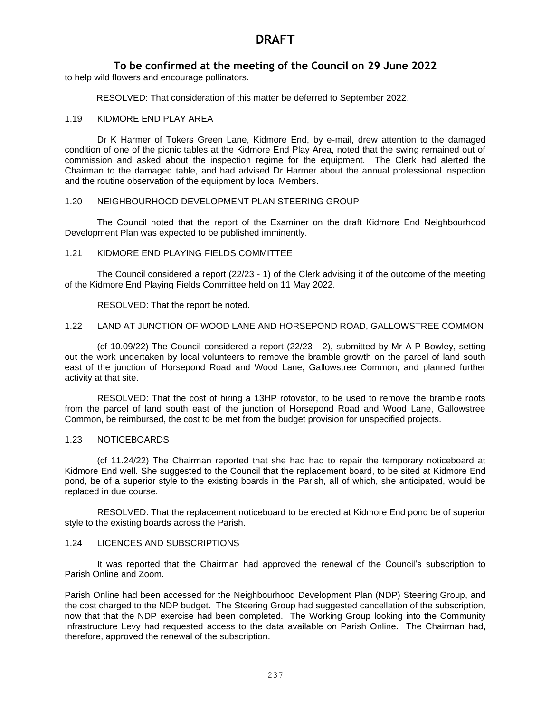# **To be confirmed at the meeting of the Council on 29 June 2022**

to help wild flowers and encourage pollinators.

RESOLVED: That consideration of this matter be deferred to September 2022.

#### 1.19 KIDMORE END PLAY AREA

Dr K Harmer of Tokers Green Lane, Kidmore End, by e-mail, drew attention to the damaged condition of one of the picnic tables at the Kidmore End Play Area, noted that the swing remained out of commission and asked about the inspection regime for the equipment. The Clerk had alerted the Chairman to the damaged table, and had advised Dr Harmer about the annual professional inspection and the routine observation of the equipment by local Members.

## 1.20 NEIGHBOURHOOD DEVELOPMENT PLAN STEERING GROUP

The Council noted that the report of the Examiner on the draft Kidmore End Neighbourhood Development Plan was expected to be published imminently.

# 1.21 KIDMORE END PLAYING FIELDS COMMITTEE

The Council considered a report (22/23 - 1) of the Clerk advising it of the outcome of the meeting of the Kidmore End Playing Fields Committee held on 11 May 2022.

RESOLVED: That the report be noted.

## 1.22 LAND AT JUNCTION OF WOOD LANE AND HORSEPOND ROAD, GALLOWSTREE COMMON

(cf 10.09/22) The Council considered a report (22/23 - 2), submitted by Mr A P Bowley, setting out the work undertaken by local volunteers to remove the bramble growth on the parcel of land south east of the junction of Horsepond Road and Wood Lane, Gallowstree Common, and planned further activity at that site.

RESOLVED: That the cost of hiring a 13HP rotovator, to be used to remove the bramble roots from the parcel of land south east of the junction of Horsepond Road and Wood Lane, Gallowstree Common, be reimbursed, the cost to be met from the budget provision for unspecified projects.

#### 1.23 NOTICEBOARDS

(cf 11.24/22) The Chairman reported that she had had to repair the temporary noticeboard at Kidmore End well. She suggested to the Council that the replacement board, to be sited at Kidmore End pond, be of a superior style to the existing boards in the Parish, all of which, she anticipated, would be replaced in due course.

RESOLVED: That the replacement noticeboard to be erected at Kidmore End pond be of superior style to the existing boards across the Parish.

#### 1.24 LICENCES AND SUBSCRIPTIONS

It was reported that the Chairman had approved the renewal of the Council's subscription to Parish Online and Zoom.

Parish Online had been accessed for the Neighbourhood Development Plan (NDP) Steering Group, and the cost charged to the NDP budget. The Steering Group had suggested cancellation of the subscription, now that that the NDP exercise had been completed. The Working Group looking into the Community Infrastructure Levy had requested access to the data available on Parish Online. The Chairman had, therefore, approved the renewal of the subscription.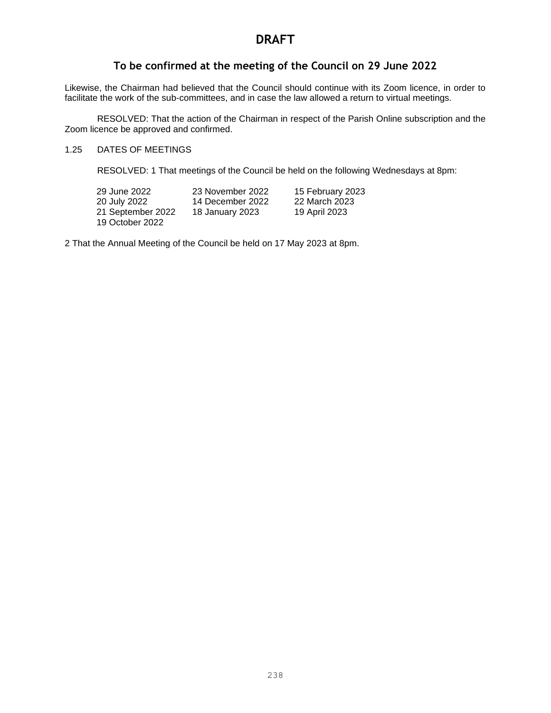# **To be confirmed at the meeting of the Council on 29 June 2022**

Likewise, the Chairman had believed that the Council should continue with its Zoom licence, in order to facilitate the work of the sub-committees, and in case the law allowed a return to virtual meetings.

RESOLVED: That the action of the Chairman in respect of the Parish Online subscription and the Zoom licence be approved and confirmed.

## 1.25 DATES OF MEETINGS

RESOLVED: 1 That meetings of the Council be held on the following Wednesdays at 8pm:

| 29 June 2022      | 23 November 2022 | 15 February 2023 |
|-------------------|------------------|------------------|
| 20 July 2022      | 14 December 2022 | 22 March 2023    |
| 21 September 2022 | 18 January 2023  | 19 April 2023    |
| 19 October 2022   |                  |                  |

2 That the Annual Meeting of the Council be held on 17 May 2023 at 8pm.